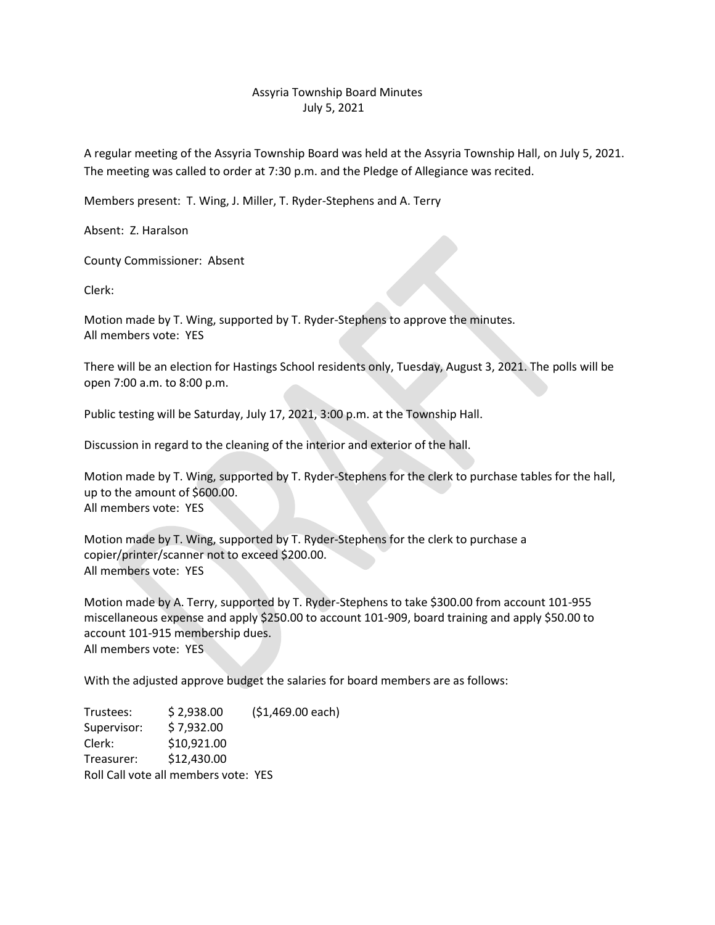## Assyria Township Board Minutes July 5, 2021

A regular meeting of the Assyria Township Board was held at the Assyria Township Hall, on July 5, 2021. The meeting was called to order at 7:30 p.m. and the Pledge of Allegiance was recited.

Members present: T. Wing, J. Miller, T. Ryder-Stephens and A. Terry

Absent: Z. Haralson

County Commissioner: Absent

Clerk:

Motion made by T. Wing, supported by T. Ryder-Stephens to approve the minutes. All members vote: YES

There will be an election for Hastings School residents only, Tuesday, August 3, 2021. The polls will be open 7:00 a.m. to 8:00 p.m.

Public testing will be Saturday, July 17, 2021, 3:00 p.m. at the Township Hall.

Discussion in regard to the cleaning of the interior and exterior of the hall.

Motion made by T. Wing, supported by T. Ryder-Stephens for the clerk to purchase tables for the hall, up to the amount of \$600.00. All members vote: YES

Motion made by T. Wing, supported by T. Ryder-Stephens for the clerk to purchase a copier/printer/scanner not to exceed \$200.00. All members vote: YES

Motion made by A. Terry, supported by T. Ryder-Stephens to take \$300.00 from account 101-955 miscellaneous expense and apply \$250.00 to account 101-909, board training and apply \$50.00 to account 101-915 membership dues. All members vote: YES

With the adjusted approve budget the salaries for board members are as follows:

Trustees: \$ 2,938.00 (\$1,469.00 each) Supervisor: \$ 7,932.00 Clerk: \$10,921.00 Treasurer: \$12,430.00 Roll Call vote all members vote: YES